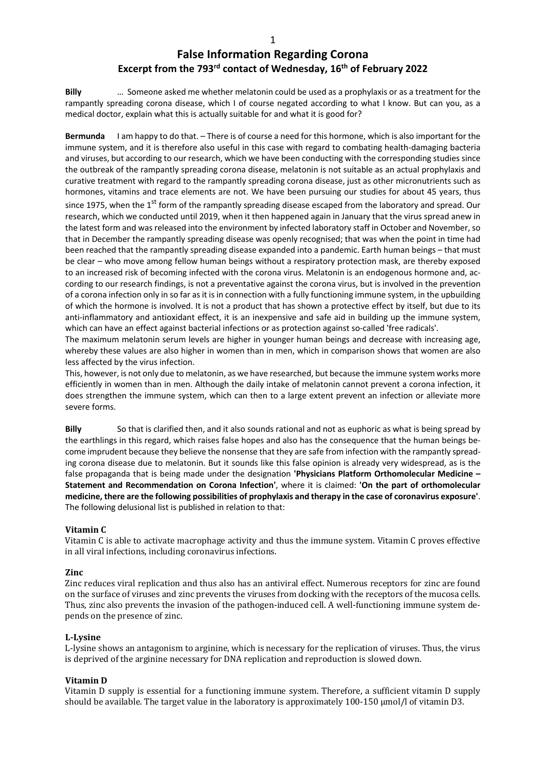# **False Information Regarding Corona Excerpt from the 793rd contact of Wednesday, 16th of February 2022**

**Billy** … Someone asked me whether melatonin could be used as a prophylaxis or as a treatment for the rampantly spreading corona disease, which I of course negated according to what I know. But can you, as a medical doctor, explain what this is actually suitable for and what it is good for?

**Bermunda** I am happy to do that. – There is of course a need for this hormone, which is also important for the immune system, and it is therefore also useful in this case with regard to combating health-damaging bacteria and viruses, but according to our research, which we have been conducting with the corresponding studies since the outbreak of the rampantly spreading corona disease, melatonin is not suitable as an actual prophylaxis and curative treatment with regard to the rampantly spreading corona disease, just as other micronutrients such as hormones, vitamins and trace elements are not. We have been pursuing our studies for about 45 years, thus since 1975, when the 1<sup>st</sup> form of the rampantly spreading disease escaped from the laboratory and spread. Our research, which we conducted until 2019, when it then happened again in January that the virus spread anew in the latest form and was released into the environment by infected laboratory staff in October and November, so that in December the rampantly spreading disease was openly recognised; that was when the point in time had been reached that the rampantly spreading disease expanded into a pandemic. Earth human beings – that must be clear – who move among fellow human beings without a respiratory protection mask, are thereby exposed to an increased risk of becoming infected with the corona virus. Melatonin is an endogenous hormone and, according to our research findings, is not a preventative against the corona virus, but is involved in the prevention of a corona infection only in so far as it is in connection with a fully functioning immune system, in the upbuilding of which the hormone is involved. It is not a product that has shown a protective effect by itself, but due to its anti-inflammatory and antioxidant effect, it is an inexpensive and safe aid in building up the immune system, which can have an effect against bacterial infections or as protection against so-called 'free radicals'.

The maximum melatonin serum levels are higher in younger human beings and decrease with increasing age, whereby these values are also higher in women than in men, which in comparison shows that women are also less affected by the virus infection.

This, however, is not only due to melatonin, as we have researched, but because the immune system works more efficiently in women than in men. Although the daily intake of melatonin cannot prevent a corona infection, it does strengthen the immune system, which can then to a large extent prevent an infection or alleviate more severe forms.

**Billy** So that is clarified then, and it also sounds rational and not as euphoric as what is being spread by the earthlings in this regard, which raises false hopes and also has the consequence that the human beings become imprudent because they believe the nonsense that they are safe from infection with the rampantly spreading corona disease due to melatonin. But it sounds like this false opinion is already very widespread, as is the false propaganda that is being made under the designation **'Physicians Platform Orthomolecular Medicine – Statement and Recommendation on Corona Infection'**, where it is claimed: **'On the part of orthomolecular medicine, there are the following possibilities of prophylaxis and therapy in the case of coronavirus exposure'**. The following delusional list is published in relation to that:

# **Vitamin C**

Vitamin C is able to activate macrophage activity and thus the immune system. Vitamin C proves effective in all viral infections, including coronavirus infections.

# **Zinc**

Zinc reduces viral replication and thus also has an antiviral effect. Numerous receptors for zinc are found on the surface of viruses and zinc prevents the viruses from docking with the receptors of the mucosa cells. Thus, zinc also prevents the invasion of the pathogen-induced cell. A well-functioning immune system depends on the presence of zinc.

# **L-Lysine**

L-lysine shows an antagonism to arginine, which is necessary for the replication of viruses. Thus, the virus is deprived of the arginine necessary for DNA replication and reproduction is slowed down.

# **Vitamin D**

Vitamin D supply is essential for a functioning immune system. Therefore, a sufficient vitamin D supply should be available. The target value in the laboratory is approximately  $100-150 \mu$ mol/l of vitamin D3.